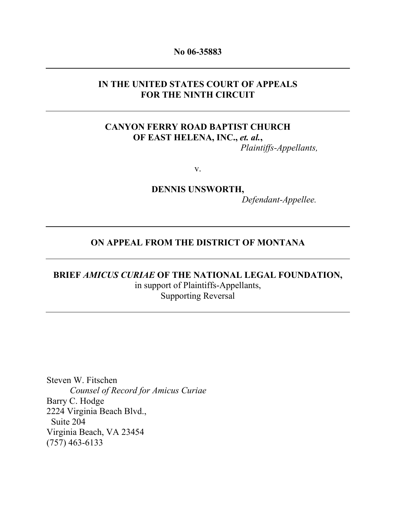#### No 06-35883

### IN THE UNITED STATES COURT OF APPEALS FOR THE NINTH CIRCUIT

## CANYON FERRY ROAD BAPTIST CHURCH OF EAST HELENA, INC., et. al., Plaintiffs-Appellants,

v.

DENNIS UNSWORTH, Defendant-Appellee.

## ON APPEAL FROM THE DISTRICT OF MONTANA

# BRIEF AMICUS CURIAE OF THE NATIONAL LEGAL FOUNDATION, in support of Plaintiffs-Appellants, Supporting Reversal

Steven W. Fitschen Counsel of Record for Amicus Curiae Barry C. Hodge 2224 Virginia Beach Blvd., Suite 204 Virginia Beach, VA 23454 (757) 463-6133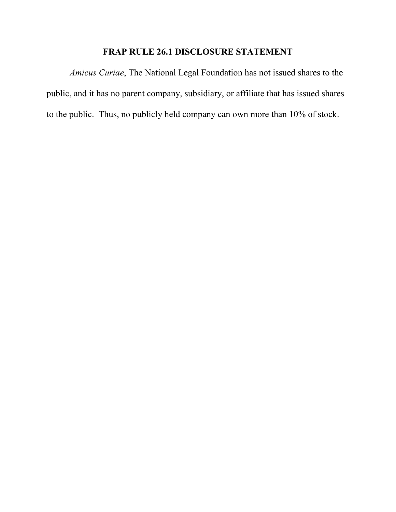# FRAP RULE 26.1 DISCLOSURE STATEMENT

Amicus Curiae, The National Legal Foundation has not issued shares to the public, and it has no parent company, subsidiary, or affiliate that has issued shares to the public. Thus, no publicly held company can own more than 10% of stock.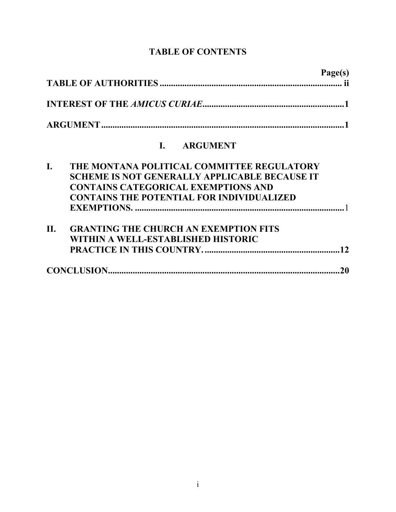# TABLE OF CONTENTS

|            | Page(s)                                                                                                                                                                                              |
|------------|------------------------------------------------------------------------------------------------------------------------------------------------------------------------------------------------------|
|            |                                                                                                                                                                                                      |
|            |                                                                                                                                                                                                      |
|            | <b>ARGUMENT</b><br>$\mathbf{I}$                                                                                                                                                                      |
| I.         | THE MONTANA POLITICAL COMMITTEE REGULATORY<br><b>SCHEME IS NOT GENERALLY APPLICABLE BECAUSE IT</b><br><b>CONTAINS CATEGORICAL EXEMPTIONS AND</b><br><b>CONTAINS THE POTENTIAL FOR INDIVIDUALIZED</b> |
| <b>II.</b> | <b>GRANTING THE CHURCH AN EXEMPTION FITS</b><br>WITHIN A WELL-ESTABLISHED HISTORIC                                                                                                                   |
|            | 20                                                                                                                                                                                                   |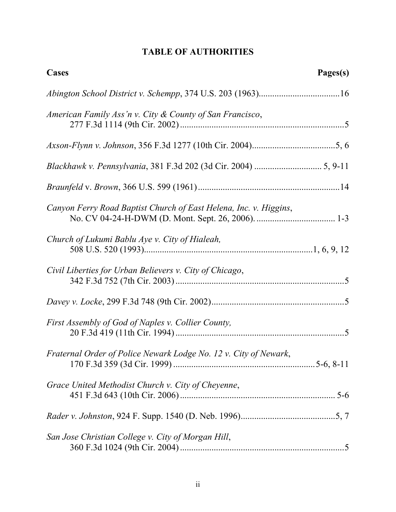# TABLE OF AUTHORITIES

| Cases                                                             | Pages(s) |
|-------------------------------------------------------------------|----------|
|                                                                   |          |
| American Family Ass'n v. City & County of San Francisco,          |          |
|                                                                   |          |
|                                                                   |          |
|                                                                   |          |
| Canyon Ferry Road Baptist Church of East Helena, Inc. v. Higgins, |          |
| Church of Lukumi Bablu Aye v. City of Hialeah,                    |          |
| Civil Liberties for Urban Believers v. City of Chicago,           |          |
|                                                                   |          |
| First Assembly of God of Naples v. Collier County,                |          |
| Fraternal Order of Police Newark Lodge No. 12 v. City of Newark,  |          |
| Grace United Methodist Church v. City of Cheyenne,                |          |
|                                                                   |          |
| San Jose Christian College v. City of Morgan Hill,                |          |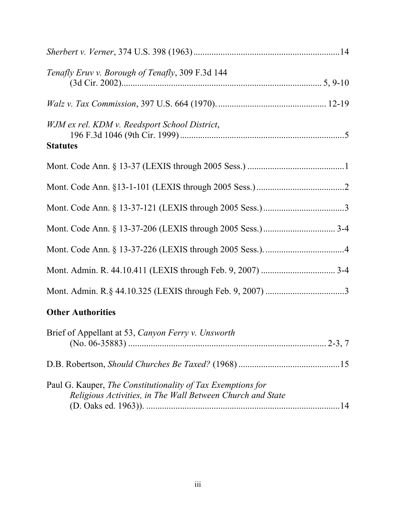| Tenafly Eruv v. Borough of Tenafly, 309 F.3d 144                                                                          |  |
|---------------------------------------------------------------------------------------------------------------------------|--|
|                                                                                                                           |  |
| WJM ex rel. KDM v. Reedsport School District,<br><b>Statutes</b>                                                          |  |
|                                                                                                                           |  |
|                                                                                                                           |  |
|                                                                                                                           |  |
|                                                                                                                           |  |
|                                                                                                                           |  |
|                                                                                                                           |  |
|                                                                                                                           |  |
| <b>Other Authorities</b>                                                                                                  |  |
| Brief of Appellant at 53, Canyon Ferry v. Unsworth                                                                        |  |
|                                                                                                                           |  |
| Paul G. Kauper, The Constitutionality of Tax Exemptions for<br>Religious Activities, in The Wall Between Church and State |  |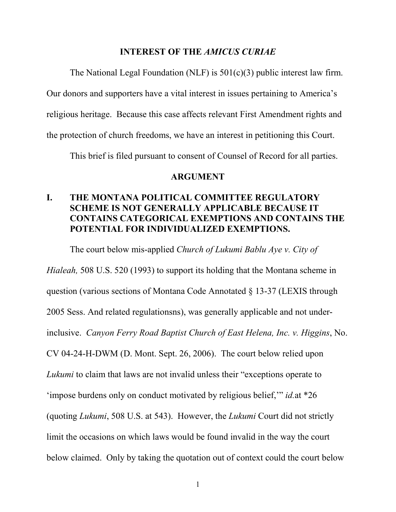#### INTEREST OF THE AMICUS CURIAE

The National Legal Foundation (NLF) is 501(c)(3) public interest law firm.

Our donors and supporters have a vital interest in issues pertaining to America's

religious heritage. Because this case affects relevant First Amendment rights and

the protection of church freedoms, we have an interest in petitioning this Court.

This brief is filed pursuant to consent of Counsel of Record for all parties.

#### ARGUMENT

# I. THE MONTANA POLITICAL COMMITTEE REGULATORY SCHEME IS NOT GENERALLY APPLICABLE BECAUSE IT CONTAINS CATEGORICAL EXEMPTIONS AND CONTAINS THE POTENTIAL FOR INDIVIDUALIZED EXEMPTIONS.

The court below mis-applied *Church of Lukumi Bablu Aye v. City of* 

Hialeah, 508 U.S. 520 (1993) to support its holding that the Montana scheme in question (various sections of Montana Code Annotated § 13-37 (LEXIS through 2005 Sess. And related regulationsns), was generally applicable and not underinclusive. Canyon Ferry Road Baptist Church of East Helena, Inc. v. Higgins, No. CV 04-24-H-DWM (D. Mont. Sept. 26, 2006). The court below relied upon Lukumi to claim that laws are not invalid unless their "exceptions operate to 'impose burdens only on conduct motivated by religious belief,'" id.at \*26 (quoting Lukumi, 508 U.S. at 543). However, the Lukumi Court did not strictly limit the occasions on which laws would be found invalid in the way the court below claimed. Only by taking the quotation out of context could the court below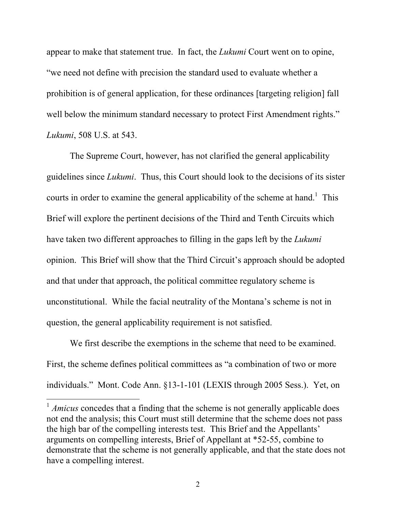appear to make that statement true. In fact, the Lukumi Court went on to opine, "we need not define with precision the standard used to evaluate whether a prohibition is of general application, for these ordinances [targeting religion] fall well below the minimum standard necessary to protect First Amendment rights." Lukumi, 508 U.S. at 543.

 The Supreme Court, however, has not clarified the general applicability guidelines since Lukumi. Thus, this Court should look to the decisions of its sister courts in order to examine the general applicability of the scheme at hand.<sup>1</sup> This Brief will explore the pertinent decisions of the Third and Tenth Circuits which have taken two different approaches to filling in the gaps left by the Lukumi opinion. This Brief will show that the Third Circuit's approach should be adopted and that under that approach, the political committee regulatory scheme is unconstitutional. While the facial neutrality of the Montana's scheme is not in question, the general applicability requirement is not satisfied.

We first describe the exemptions in the scheme that need to be examined. First, the scheme defines political committees as "a combination of two or more individuals." Mont. Code Ann. §13-1-101 (LEXIS through 2005 Sess.). Yet, on

<u>.</u>

 $1$  *Amicus* concedes that a finding that the scheme is not generally applicable does not end the analysis; this Court must still determine that the scheme does not pass the high bar of the compelling interests test. This Brief and the Appellants' arguments on compelling interests, Brief of Appellant at \*52-55, combine to demonstrate that the scheme is not generally applicable, and that the state does not have a compelling interest.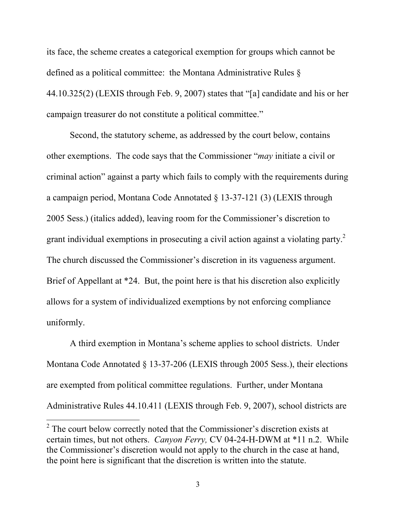its face, the scheme creates a categorical exemption for groups which cannot be defined as a political committee: the Montana Administrative Rules § 44.10.325(2) (LEXIS through Feb. 9, 2007) states that "[a] candidate and his or her campaign treasurer do not constitute a political committee."

 Second, the statutory scheme, as addressed by the court below, contains other exemptions. The code says that the Commissioner "may initiate a civil or criminal action" against a party which fails to comply with the requirements during a campaign period, Montana Code Annotated § 13-37-121 (3) (LEXIS through 2005 Sess.) (italics added), leaving room for the Commissioner's discretion to grant individual exemptions in prosecuting a civil action against a violating party. $2$ The church discussed the Commissioner's discretion in its vagueness argument. Brief of Appellant at \*24. But, the point here is that his discretion also explicitly allows for a system of individualized exemptions by not enforcing compliance uniformly.

 A third exemption in Montana's scheme applies to school districts. Under Montana Code Annotated § 13-37-206 (LEXIS through 2005 Sess.), their elections are exempted from political committee regulations. Further, under Montana Administrative Rules 44.10.411 (LEXIS through Feb. 9, 2007), school districts are

<u>.</u>

 $2^2$  The court below correctly noted that the Commissioner's discretion exists at certain times, but not others. Canyon Ferry, CV 04-24-H-DWM at \*11 n.2. While the Commissioner's discretion would not apply to the church in the case at hand, the point here is significant that the discretion is written into the statute.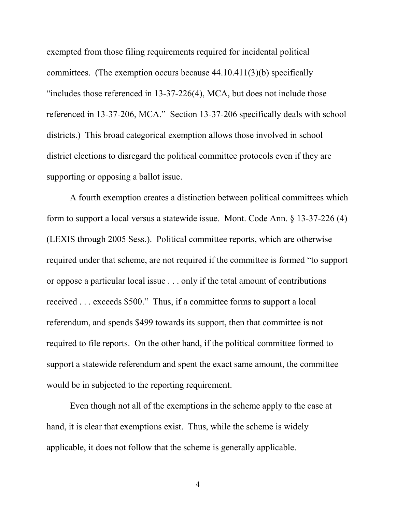exempted from those filing requirements required for incidental political committees. (The exemption occurs because 44.10.411(3)(b) specifically "includes those referenced in  $13-37-226(4)$ , MCA, but does not include those referenced in 13-37-206, MCA." Section 13-37-206 specifically deals with school districts.) This broad categorical exemption allows those involved in school district elections to disregard the political committee protocols even if they are supporting or opposing a ballot issue.

 A fourth exemption creates a distinction between political committees which form to support a local versus a statewide issue. Mont. Code Ann. § 13-37-226 (4) (LEXIS through 2005 Sess.). Political committee reports, which are otherwise required under that scheme, are not required if the committee is formed "to support or oppose a particular local issue . . . only if the total amount of contributions received . . . exceeds \$500." Thus, if a committee forms to support a local referendum, and spends \$499 towards its support, then that committee is not required to file reports. On the other hand, if the political committee formed to support a statewide referendum and spent the exact same amount, the committee would be in subjected to the reporting requirement.

 Even though not all of the exemptions in the scheme apply to the case at hand, it is clear that exemptions exist. Thus, while the scheme is widely applicable, it does not follow that the scheme is generally applicable.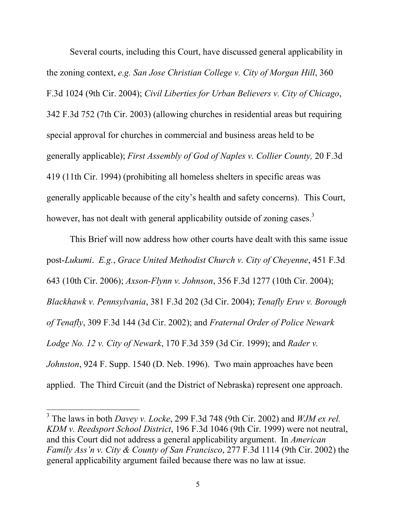Several courts, including this Court, have discussed general applicability in the zoning context, e.g. San Jose Christian College v. City of Morgan Hill, 360 F.3d 1024 (9th Cir. 2004); Civil Liberties for Urban Believers v. City of Chicago, 342 F.3d 752 (7th Cir. 2003) (allowing churches in residential areas but requiring special approval for churches in commercial and business areas held to be generally applicable); First Assembly of God of Naples v. Collier County, 20 F.3d 419 (11th Cir. 1994) (prohibiting all homeless shelters in specific areas was generally applicable because of the city's health and safety concerns). This Court, however, has not dealt with general applicability outside of zoning cases.<sup>3</sup>

This Brief will now address how other courts have dealt with this same issue post-Lukumi. E.g., Grace United Methodist Church v. City of Cheyenne, 451 F.3d 643 (10th Cir. 2006); Axson-Flynn v. Johnson, 356 F.3d 1277 (10th Cir. 2004); Blackhawk v. Pennsylvania, 381 F.3d 202 (3d Cir. 2004); Tenafly Eruv v. Borough of Tenafly, 309 F.3d 144 (3d Cir. 2002); and Fraternal Order of Police Newark Lodge No. 12 v. City of Newark, 170 F.3d 359 (3d Cir. 1999); and Rader v. Johnston, 924 F. Supp. 1540 (D. Neb. 1996). Two main approaches have been applied. The Third Circuit (and the District of Nebraska) represent one approach.

<u>.</u>

<sup>&</sup>lt;sup>3</sup> The laws in both *Davey v. Locke*, 299 F.3d 748 (9th Cir. 2002) and *WJM ex rel.* KDM v. Reedsport School District, 196 F.3d 1046 (9th Cir. 1999) were not neutral, and this Court did not address a general applicability argument. In American Family Ass'n v. City & County of San Francisco, 277 F.3d 1114 (9th Cir. 2002) the general applicability argument failed because there was no law at issue.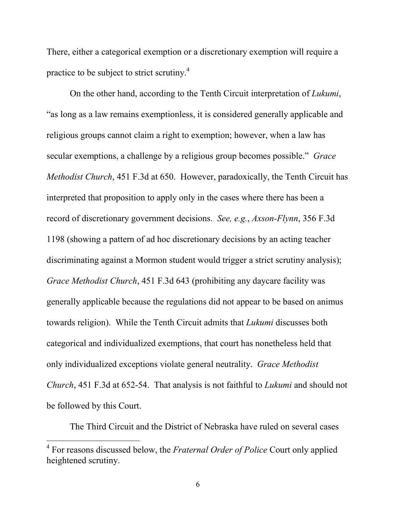There, either a categorical exemption or a discretionary exemption will require a practice to be subject to strict scrutiny.<sup>4</sup>

 On the other hand, according to the Tenth Circuit interpretation of Lukumi, "as long as a law remains exemptionless, it is considered generally applicable and religious groups cannot claim a right to exemption; however, when a law has secular exemptions, a challenge by a religious group becomes possible." Grace Methodist Church, 451 F.3d at 650. However, paradoxically, the Tenth Circuit has interpreted that proposition to apply only in the cases where there has been a record of discretionary government decisions. See, e.g., Axson-Flynn, 356 F.3d 1198 (showing a pattern of ad hoc discretionary decisions by an acting teacher discriminating against a Mormon student would trigger a strict scrutiny analysis); Grace Methodist Church, 451 F.3d 643 (prohibiting any daycare facility was generally applicable because the regulations did not appear to be based on animus towards religion). While the Tenth Circuit admits that Lukumi discusses both categorical and individualized exemptions, that court has nonetheless held that only individualized exceptions violate general neutrality. Grace Methodist Church, 451 F.3d at 652-54. That analysis is not faithful to Lukumi and should not be followed by this Court.

The Third Circuit and the District of Nebraska have ruled on several cases

<u>.</u>

<sup>&</sup>lt;sup>4</sup> For reasons discussed below, the *Fraternal Order of Police* Court only applied heightened scrutiny.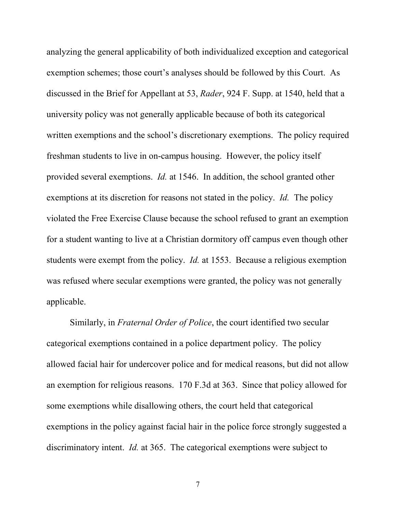analyzing the general applicability of both individualized exception and categorical exemption schemes; those court's analyses should be followed by this Court. As discussed in the Brief for Appellant at 53, Rader, 924 F. Supp. at 1540, held that a university policy was not generally applicable because of both its categorical written exemptions and the school's discretionary exemptions. The policy required freshman students to live in on-campus housing. However, the policy itself provided several exemptions. Id. at 1546. In addition, the school granted other exemptions at its discretion for reasons not stated in the policy. Id. The policy violated the Free Exercise Clause because the school refused to grant an exemption for a student wanting to live at a Christian dormitory off campus even though other students were exempt from the policy. Id. at 1553. Because a religious exemption was refused where secular exemptions were granted, the policy was not generally applicable.

 Similarly, in Fraternal Order of Police, the court identified two secular categorical exemptions contained in a police department policy. The policy allowed facial hair for undercover police and for medical reasons, but did not allow an exemption for religious reasons. 170 F.3d at 363. Since that policy allowed for some exemptions while disallowing others, the court held that categorical exemptions in the policy against facial hair in the police force strongly suggested a discriminatory intent. *Id.* at 365. The categorical exemptions were subject to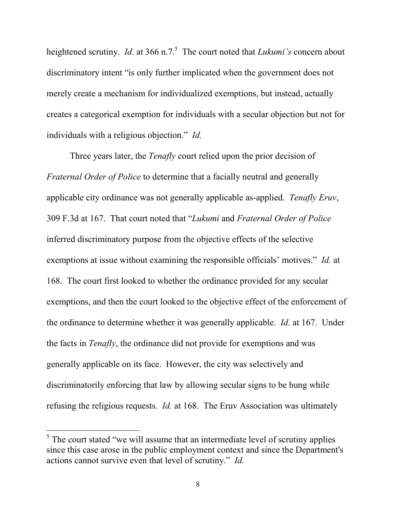heightened scrutiny. *Id.* at 366 n.7.<sup>5</sup> The court noted that *Lukumi's* concern about discriminatory intent "is only further implicated when the government does not merely create a mechanism for individualized exemptions, but instead, actually creates a categorical exemption for individuals with a secular objection but not for individuals with a religious objection." Id.

Three years later, the *Tenafly* court relied upon the prior decision of Fraternal Order of Police to determine that a facially neutral and generally applicable city ordinance was not generally applicable as-applied. Tenafly Eruv, 309 F.3d at 167. That court noted that "Lukumi and Fraternal Order of Police inferred discriminatory purpose from the objective effects of the selective exemptions at issue without examining the responsible officials' motives." *Id.* at 168. The court first looked to whether the ordinance provided for any secular exemptions, and then the court looked to the objective effect of the enforcement of the ordinance to determine whether it was generally applicable. Id. at 167. Under the facts in Tenafly, the ordinance did not provide for exemptions and was generally applicable on its face. However, the city was selectively and discriminatorily enforcing that law by allowing secular signs to be hung while refusing the religious requests. Id. at 168. The Eruv Association was ultimately

<u>.</u>

 $<sup>5</sup>$  The court stated "we will assume that an intermediate level of scrutiny applies</sup> since this case arose in the public employment context and since the Department's actions cannot survive even that level of scrutiny." Id.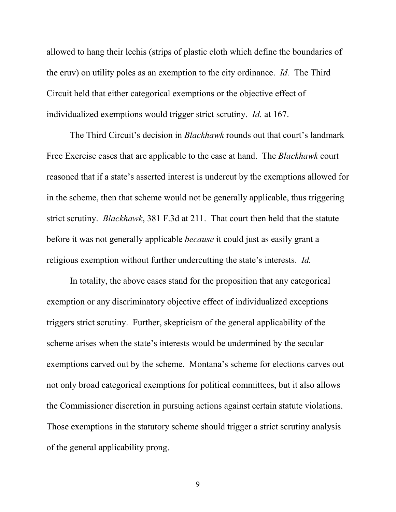allowed to hang their lechis (strips of plastic cloth which define the boundaries of the eruv) on utility poles as an exemption to the city ordinance. Id. The Third Circuit held that either categorical exemptions or the objective effect of individualized exemptions would trigger strict scrutiny. Id. at 167.

The Third Circuit's decision in *Blackhawk* rounds out that court's landmark Free Exercise cases that are applicable to the case at hand. The *Blackhawk* court reasoned that if a state's asserted interest is undercut by the exemptions allowed for in the scheme, then that scheme would not be generally applicable, thus triggering strict scrutiny. Blackhawk, 381 F.3d at 211. That court then held that the statute before it was not generally applicable because it could just as easily grant a religious exemption without further undercutting the state's interests. Id.

In totality, the above cases stand for the proposition that any categorical exemption or any discriminatory objective effect of individualized exceptions triggers strict scrutiny. Further, skepticism of the general applicability of the scheme arises when the state's interests would be undermined by the secular exemptions carved out by the scheme. Montana's scheme for elections carves out not only broad categorical exemptions for political committees, but it also allows the Commissioner discretion in pursuing actions against certain statute violations. Those exemptions in the statutory scheme should trigger a strict scrutiny analysis of the general applicability prong.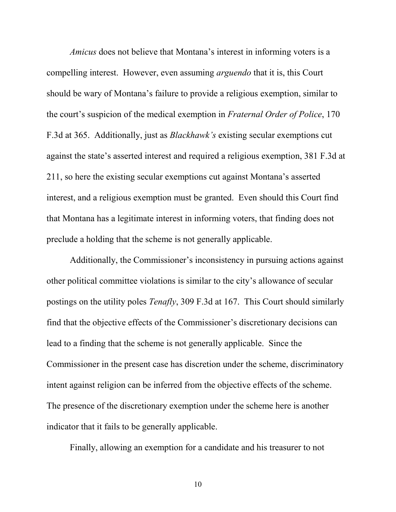Amicus does not believe that Montana's interest in informing voters is a compelling interest. However, even assuming arguendo that it is, this Court should be wary of Montana's failure to provide a religious exemption, similar to the court's suspicion of the medical exemption in Fraternal Order of Police, 170 F.3d at 365. Additionally, just as Blackhawk's existing secular exemptions cut against the state's asserted interest and required a religious exemption, 381 F.3d at 211, so here the existing secular exemptions cut against Montana's asserted interest, and a religious exemption must be granted. Even should this Court find that Montana has a legitimate interest in informing voters, that finding does not preclude a holding that the scheme is not generally applicable.

 Additionally, the Commissioner's inconsistency in pursuing actions against other political committee violations is similar to the city's allowance of secular postings on the utility poles Tenafly, 309 F.3d at 167. This Court should similarly find that the objective effects of the Commissioner's discretionary decisions can lead to a finding that the scheme is not generally applicable. Since the Commissioner in the present case has discretion under the scheme, discriminatory intent against religion can be inferred from the objective effects of the scheme. The presence of the discretionary exemption under the scheme here is another indicator that it fails to be generally applicable.

Finally, allowing an exemption for a candidate and his treasurer to not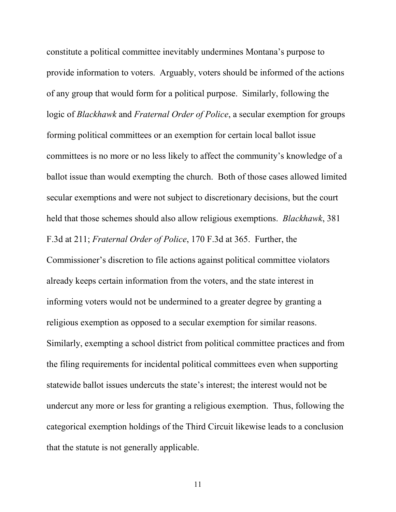constitute a political committee inevitably undermines Montana's purpose to provide information to voters. Arguably, voters should be informed of the actions of any group that would form for a political purpose. Similarly, following the logic of Blackhawk and Fraternal Order of Police, a secular exemption for groups forming political committees or an exemption for certain local ballot issue committees is no more or no less likely to affect the community's knowledge of a ballot issue than would exempting the church. Both of those cases allowed limited secular exemptions and were not subject to discretionary decisions, but the court held that those schemes should also allow religious exemptions. Blackhawk, 381 F.3d at 211; Fraternal Order of Police, 170 F.3d at 365. Further, the Commissioner's discretion to file actions against political committee violators already keeps certain information from the voters, and the state interest in informing voters would not be undermined to a greater degree by granting a religious exemption as opposed to a secular exemption for similar reasons. Similarly, exempting a school district from political committee practices and from the filing requirements for incidental political committees even when supporting statewide ballot issues undercuts the state's interest; the interest would not be undercut any more or less for granting a religious exemption. Thus, following the categorical exemption holdings of the Third Circuit likewise leads to a conclusion that the statute is not generally applicable.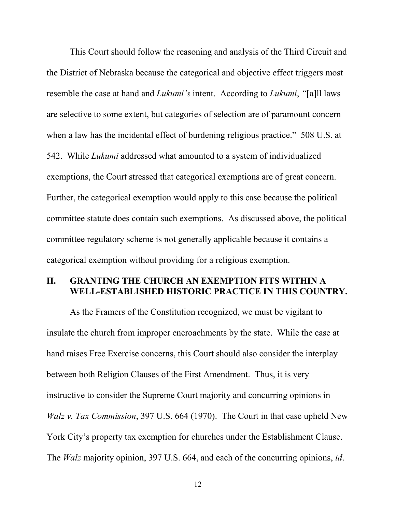This Court should follow the reasoning and analysis of the Third Circuit and the District of Nebraska because the categorical and objective effect triggers most resemble the case at hand and *Lukumi's* intent. According to *Lukumi*, "[a]ll laws are selective to some extent, but categories of selection are of paramount concern when a law has the incidental effect of burdening religious practice." 508 U.S. at 542. While Lukumi addressed what amounted to a system of individualized exemptions, the Court stressed that categorical exemptions are of great concern. Further, the categorical exemption would apply to this case because the political committee statute does contain such exemptions. As discussed above, the political committee regulatory scheme is not generally applicable because it contains a categorical exemption without providing for a religious exemption.

## II. GRANTING THE CHURCH AN EXEMPTION FITS WITHIN A WELL-ESTABLISHED HISTORIC PRACTICE IN THIS COUNTRY.

 As the Framers of the Constitution recognized, we must be vigilant to insulate the church from improper encroachments by the state. While the case at hand raises Free Exercise concerns, this Court should also consider the interplay between both Religion Clauses of the First Amendment. Thus, it is very instructive to consider the Supreme Court majority and concurring opinions in Walz v. Tax Commission, 397 U.S. 664 (1970). The Court in that case upheld New York City's property tax exemption for churches under the Establishment Clause. The Walz majority opinion, 397 U.S. 664, and each of the concurring opinions, id.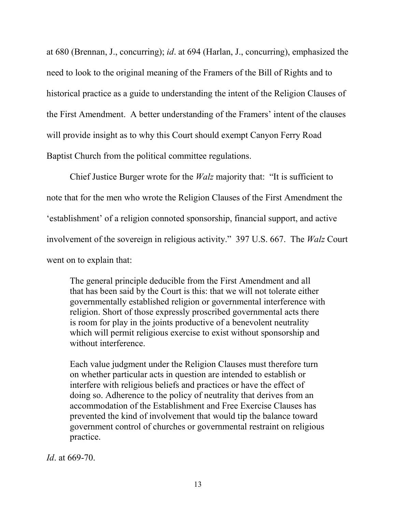at 680 (Brennan, J., concurring); id. at 694 (Harlan, J., concurring), emphasized the need to look to the original meaning of the Framers of the Bill of Rights and to historical practice as a guide to understanding the intent of the Religion Clauses of the First Amendment. A better understanding of the Framers' intent of the clauses will provide insight as to why this Court should exempt Canyon Ferry Road Baptist Church from the political committee regulations.

Chief Justice Burger wrote for the *Walz* majority that: "It is sufficient to note that for the men who wrote the Religion Clauses of the First Amendment the 'establishment' of a religion connoted sponsorship, financial support, and active involvement of the sovereign in religious activity." 397 U.S. 667. The Walz Court went on to explain that:

The general principle deducible from the First Amendment and all that has been said by the Court is this: that we will not tolerate either governmentally established religion or governmental interference with religion. Short of those expressly proscribed governmental acts there is room for play in the joints productive of a benevolent neutrality which will permit religious exercise to exist without sponsorship and without interference.

Each value judgment under the Religion Clauses must therefore turn on whether particular acts in question are intended to establish or interfere with religious beliefs and practices or have the effect of doing so. Adherence to the policy of neutrality that derives from an accommodation of the Establishment and Free Exercise Clauses has prevented the kind of involvement that would tip the balance toward government control of churches or governmental restraint on religious practice.

Id. at 669-70.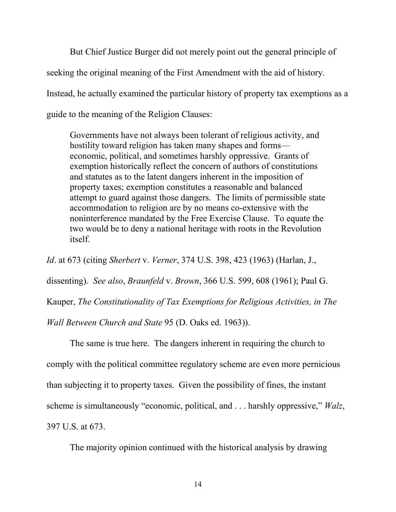But Chief Justice Burger did not merely point out the general principle of seeking the original meaning of the First Amendment with the aid of history. Instead, he actually examined the particular history of property tax exemptions as a guide to the meaning of the Religion Clauses:

Governments have not always been tolerant of religious activity, and hostility toward religion has taken many shapes and forms economic, political, and sometimes harshly oppressive. Grants of exemption historically reflect the concern of authors of constitutions and statutes as to the latent dangers inherent in the imposition of property taxes; exemption constitutes a reasonable and balanced attempt to guard against those dangers. The limits of permissible state accommodation to religion are by no means co-extensive with the noninterference mandated by the Free Exercise Clause. To equate the two would be to deny a national heritage with roots in the Revolution itself.

Id. at 673 (citing Sherbert v. Verner, 374 U.S. 398, 423 (1963) (Harlan, J.,

dissenting). See also, Braunfeld v. Brown, 366 U.S. 599, 608 (1961); Paul G.

Kauper, The Constitutionality of Tax Exemptions for Religious Activities, in The

Wall Between Church and State 95 (D. Oaks ed. 1963)).

 The same is true here. The dangers inherent in requiring the church to comply with the political committee regulatory scheme are even more pernicious than subjecting it to property taxes. Given the possibility of fines, the instant scheme is simultaneously "economic, political, and . . . harshly oppressive," Walz, 397 U.S. at 673.

The majority opinion continued with the historical analysis by drawing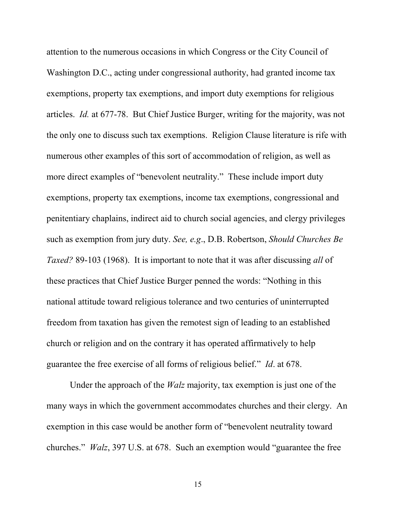attention to the numerous occasions in which Congress or the City Council of Washington D.C., acting under congressional authority, had granted income tax exemptions, property tax exemptions, and import duty exemptions for religious articles. Id. at 677-78. But Chief Justice Burger, writing for the majority, was not the only one to discuss such tax exemptions. Religion Clause literature is rife with numerous other examples of this sort of accommodation of religion, as well as more direct examples of "benevolent neutrality." These include import duty exemptions, property tax exemptions, income tax exemptions, congressional and penitentiary chaplains, indirect aid to church social agencies, and clergy privileges such as exemption from jury duty. See, e.g., D.B. Robertson, Should Churches Be Taxed? 89-103 (1968). It is important to note that it was after discussing all of these practices that Chief Justice Burger penned the words: "Nothing in this national attitude toward religious tolerance and two centuries of uninterrupted freedom from taxation has given the remotest sign of leading to an established church or religion and on the contrary it has operated affirmatively to help guarantee the free exercise of all forms of religious belief." Id. at 678.

Under the approach of the Walz majority, tax exemption is just one of the many ways in which the government accommodates churches and their clergy. An exemption in this case would be another form of "benevolent neutrality toward churches." Walz, 397 U.S. at 678. Such an exemption would "guarantee the free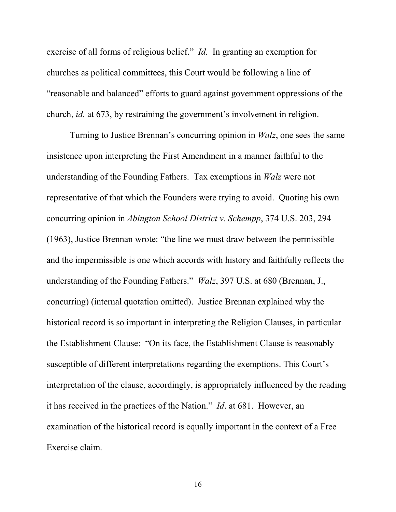exercise of all forms of religious belief." Id. In granting an exemption for churches as political committees, this Court would be following a line of "reasonable and balanced" efforts to guard against government oppressions of the church, id. at 673, by restraining the government's involvement in religion.

 Turning to Justice Brennan's concurring opinion in Walz, one sees the same insistence upon interpreting the First Amendment in a manner faithful to the understanding of the Founding Fathers. Tax exemptions in Walz were not representative of that which the Founders were trying to avoid. Quoting his own concurring opinion in Abington School District v. Schempp, 374 U.S. 203, 294 (1963), Justice Brennan wrote: "the line we must draw between the permissible and the impermissible is one which accords with history and faithfully reflects the understanding of the Founding Fathers." Walz, 397 U.S. at 680 (Brennan, J., concurring) (internal quotation omitted). Justice Brennan explained why the historical record is so important in interpreting the Religion Clauses, in particular the Establishment Clause: "On its face, the Establishment Clause is reasonably susceptible of different interpretations regarding the exemptions. This Court's interpretation of the clause, accordingly, is appropriately influenced by the reading it has received in the practices of the Nation." Id. at 681. However, an examination of the historical record is equally important in the context of a Free Exercise claim.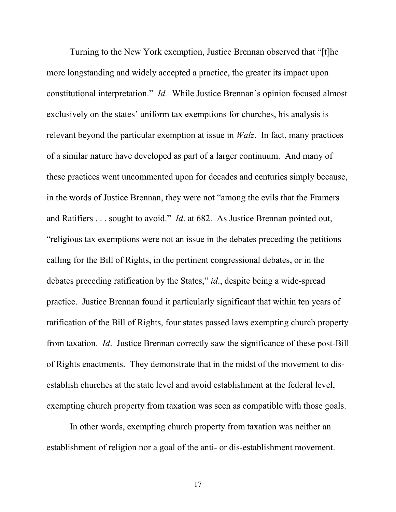Turning to the New York exemption, Justice Brennan observed that "[t]he more longstanding and widely accepted a practice, the greater its impact upon constitutional interpretation." Id. While Justice Brennan's opinion focused almost exclusively on the states' uniform tax exemptions for churches, his analysis is relevant beyond the particular exemption at issue in Walz. In fact, many practices of a similar nature have developed as part of a larger continuum. And many of these practices went uncommented upon for decades and centuries simply because, in the words of Justice Brennan, they were not "among the evils that the Framers and Ratifiers . . . sought to avoid." Id. at 682. As Justice Brennan pointed out, "religious tax exemptions were not an issue in the debates preceding the petitions calling for the Bill of Rights, in the pertinent congressional debates, or in the debates preceding ratification by the States," id., despite being a wide-spread practice. Justice Brennan found it particularly significant that within ten years of ratification of the Bill of Rights, four states passed laws exempting church property from taxation. Id. Justice Brennan correctly saw the significance of these post-Bill of Rights enactments. They demonstrate that in the midst of the movement to disestablish churches at the state level and avoid establishment at the federal level, exempting church property from taxation was seen as compatible with those goals.

In other words, exempting church property from taxation was neither an establishment of religion nor a goal of the anti- or dis-establishment movement.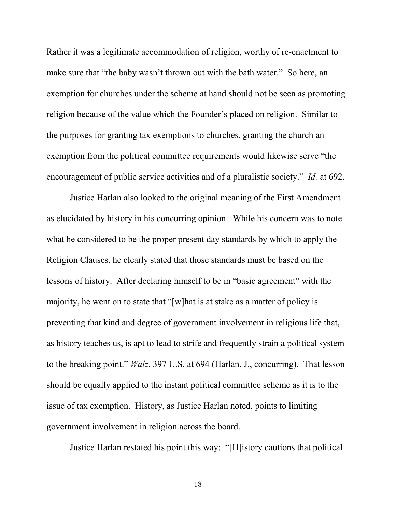Rather it was a legitimate accommodation of religion, worthy of re-enactment to make sure that "the baby wasn't thrown out with the bath water." So here, an exemption for churches under the scheme at hand should not be seen as promoting religion because of the value which the Founder's placed on religion. Similar to the purposes for granting tax exemptions to churches, granting the church an exemption from the political committee requirements would likewise serve "the encouragement of public service activities and of a pluralistic society." *Id.* at 692.

 Justice Harlan also looked to the original meaning of the First Amendment as elucidated by history in his concurring opinion. While his concern was to note what he considered to be the proper present day standards by which to apply the Religion Clauses, he clearly stated that those standards must be based on the lessons of history. After declaring himself to be in "basic agreement" with the majority, he went on to state that "[w]hat is at stake as a matter of policy is preventing that kind and degree of government involvement in religious life that, as history teaches us, is apt to lead to strife and frequently strain a political system to the breaking point." Walz, 397 U.S. at 694 (Harlan, J., concurring). That lesson should be equally applied to the instant political committee scheme as it is to the issue of tax exemption. History, as Justice Harlan noted, points to limiting government involvement in religion across the board.

Justice Harlan restated his point this way: "[H]istory cautions that political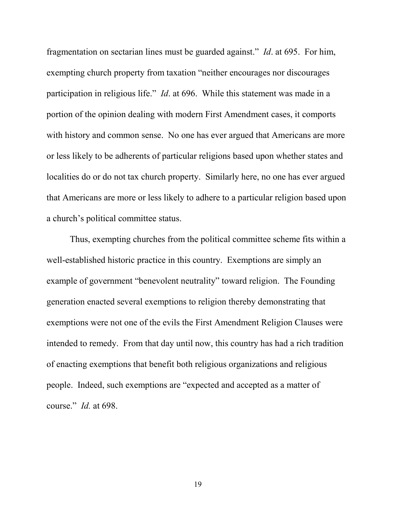fragmentation on sectarian lines must be guarded against." Id. at 695. For him, exempting church property from taxation "neither encourages nor discourages participation in religious life." Id. at 696. While this statement was made in a portion of the opinion dealing with modern First Amendment cases, it comports with history and common sense. No one has ever argued that Americans are more or less likely to be adherents of particular religions based upon whether states and localities do or do not tax church property. Similarly here, no one has ever argued that Americans are more or less likely to adhere to a particular religion based upon a church's political committee status.

 Thus, exempting churches from the political committee scheme fits within a well-established historic practice in this country. Exemptions are simply an example of government "benevolent neutrality" toward religion. The Founding generation enacted several exemptions to religion thereby demonstrating that exemptions were not one of the evils the First Amendment Religion Clauses were intended to remedy. From that day until now, this country has had a rich tradition of enacting exemptions that benefit both religious organizations and religious people. Indeed, such exemptions are "expected and accepted as a matter of course." Id. at 698.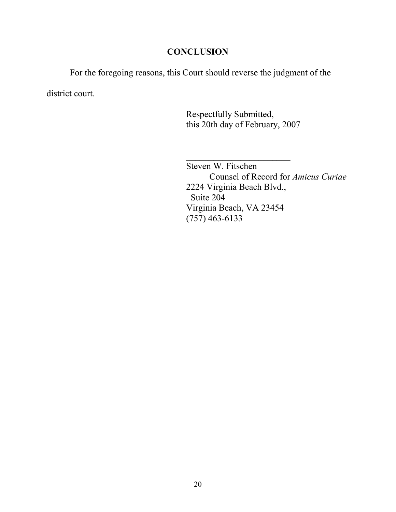## **CONCLUSION**

 For the foregoing reasons, this Court should reverse the judgment of the district court.

> Respectfully Submitted, this 20th day of February, 2007

 $\mathcal{L}_\text{max}$  and  $\mathcal{L}_\text{max}$  and  $\mathcal{L}_\text{max}$  and  $\mathcal{L}_\text{max}$  Steven W. Fitschen Counsel of Record for Amicus Curiae 2224 Virginia Beach Blvd., Suite 204 Virginia Beach, VA 23454 (757) 463-6133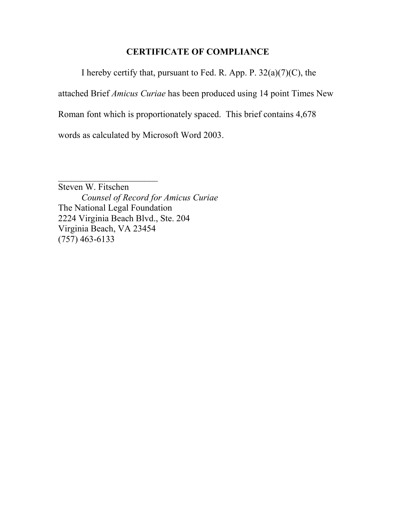# CERTIFICATE OF COMPLIANCE

I hereby certify that, pursuant to Fed. R. App. P.  $32(a)(7)(C)$ , the

attached Brief Amicus Curiae has been produced using 14 point Times New

Roman font which is proportionately spaced. This brief contains 4,678

words as calculated by Microsoft Word 2003.

 $\overline{\phantom{a}}$  , which is a set of the set of the set of the set of the set of the set of the set of the set of the set of the set of the set of the set of the set of the set of the set of the set of the set of the set of th Steven W. Fitschen Counsel of Record for Amicus Curiae The National Legal Foundation 2224 Virginia Beach Blvd., Ste. 204 Virginia Beach, VA 23454 (757) 463-6133